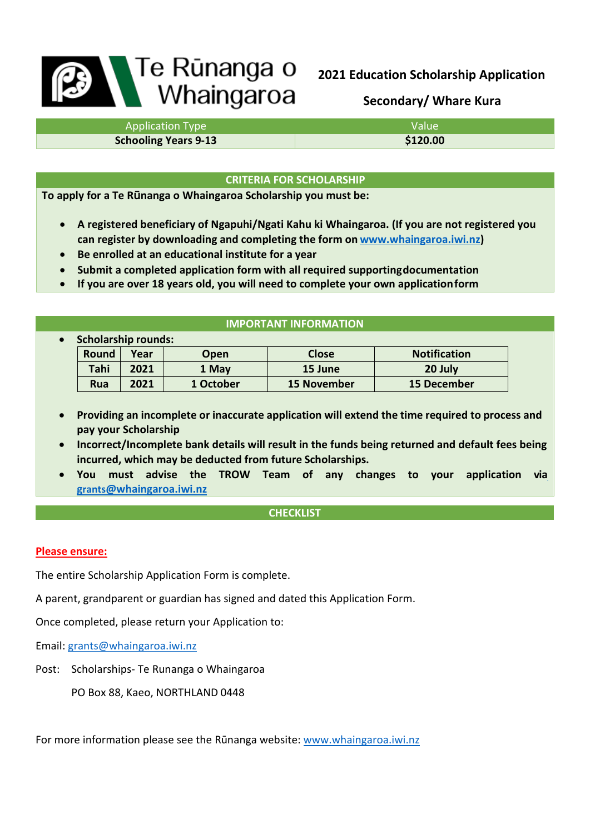# **Bandara Te Runanga o**<br>
Whaingaroa

**2021 Education Scholarship Application** 

**Secondary/ Whare Kura**

| <b>Application Type</b>     | Value    |  |
|-----------------------------|----------|--|
| <b>Schooling Years 9-13</b> | \$120.00 |  |

## **CRITERIA FOR SCHOLARSHIP**

**To apply for a Te Rūnanga o Whaingaroa Scholarship you must be:**

- **A registered beneficiary of Ngapuhi/Ngati Kahu ki Whaingaroa. (If you are not registered you can register by downloading and completing the form on [www.whaingaroa.iwi.nz\)](http://www.whaingaroa.iwi.nz/)**
- **Be enrolled at an educational institute for a year**
- **Submit a completed application form with all required supportingdocumentation**
- **If you are over 18 years old, you will need to complete your own applicationform**

# **IMPORTANT INFORMATION**

| $\bullet$ | <b>Scholarship rounds:</b> |      |             |                    |                     |
|-----------|----------------------------|------|-------------|--------------------|---------------------|
|           | Round                      | Year | <b>Open</b> | <b>Close</b>       | <b>Notification</b> |
|           | Tahi                       | 2021 | 1 May       | 15 June            | 20 July             |
|           | <b>Rua</b>                 | 2021 | 1 October   | <b>15 November</b> | 15 December         |

- **Providing an incomplete or inaccurate application will extend the time required to process and pay your Scholarship**
- **Incorrect/Incomplete bank details will result in the funds being returned and default fees being incurred, which may be deducted from future Scholarships.**
- **You must advise the TROW Team of any changes to your application vi[a](mailto:grants@whaingaroa.iwi.nz) [grants@whaingaroa.iwi.nz](mailto:grants@whaingaroa.iwi.nz)**

# **CHECKLIST**

# **Please ensure:**

The entire Scholarship Application Form is complete.

A parent, grandparent or guardian has signed and dated this Application Form.

Once completed, please return your Application to:

Email: [grants@whaingaroa.iwi.nz](mailto:grants@whaingaroa.iwi.nz)

Post: Scholarships- Te Runanga o Whaingaroa

PO Box 88, Kaeo, NORTHLAND 0448

For more information please see the Rūnanga website: [www.whaingaroa.iwi.nz](http://www.whaingaroa.iwi.nz/)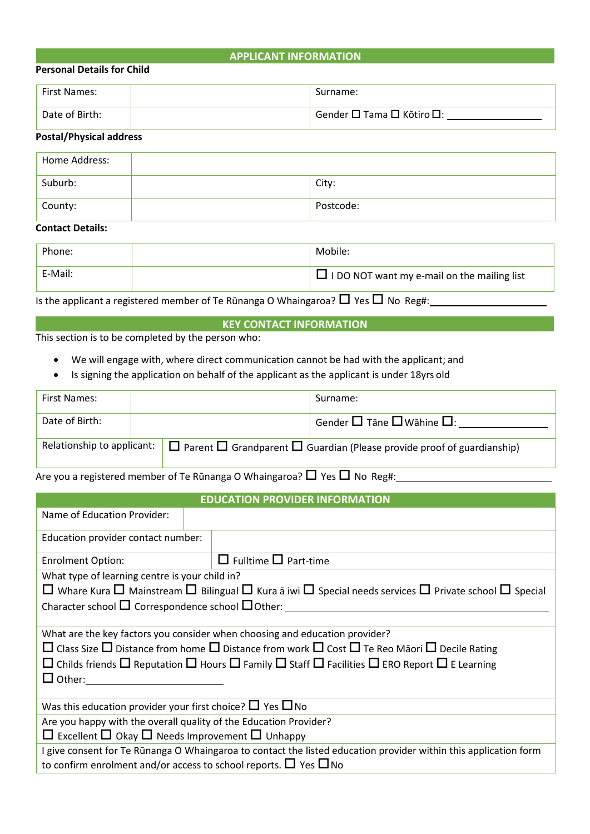### **APPLICANT INFORMATION**

#### **Personal Details for Child**

| 'First Names:  | Surname:                  |
|----------------|---------------------------|
| Date of Birth: | Gender □ Tama □ Kōtiro □: |

# **Postal/Physical address**

| Home Address: |           |
|---------------|-----------|
| Suburb:       | City:     |
| County:       | Postcode: |

# **Contact Details:**

| Phone:  | Mobile:                                            |
|---------|----------------------------------------------------|
| E-Mail: | $\Box$ I DO NOT want my e-mail on the mailing list |

Is the applicant a registered member of Te Rūnanga O Whaingaroa?  $\Box$  Yes  $\Box$  No Reg#:

# **KEY CONTACT INFORMATION**

This section is to be completed by the person who:

- We will engage with, where direct communication cannot be had with the applicant; and
- Is signing the application on behalf of the applicant as the applicant is under 18yrs old

| First Names:                                                                                                       |  |                                                    | Surname: |
|--------------------------------------------------------------------------------------------------------------------|--|----------------------------------------------------|----------|
| Date of Birth:                                                                                                     |  | Gender $\square$ Tāne $\square$ Wāhine $\square$ : |          |
| Relationship to applicant: $\Box$ Parent $\Box$ Grandparent $\Box$ Guardian (Please provide proof of guardianship) |  |                                                    |          |

Are you a registered member of Te Rūnanga O Whaingaroa?  $\Box$  Yes  $\Box$  No Reg#:

# **EDUCATION PROVIDER INFORMATION**

| Name of Education Provider:                                                                                                           |                                                                                                                                           |
|---------------------------------------------------------------------------------------------------------------------------------------|-------------------------------------------------------------------------------------------------------------------------------------------|
| Education provider contact number:                                                                                                    |                                                                                                                                           |
| <b>Enrolment Option:</b>                                                                                                              | $\Box$ Fulltime $\Box$ Part-time                                                                                                          |
| What type of learning centre is your child in?                                                                                        |                                                                                                                                           |
|                                                                                                                                       | $\Box$ Whare Kura $\Box$ Mainstream $\Box$ Bilingual $\Box$ Kura ā iwi $\Box$ Special needs services $\Box$ Private school $\Box$ Special |
| Character school $\Box$ Correspondence school $\Box$ Other:                                                                           |                                                                                                                                           |
|                                                                                                                                       |                                                                                                                                           |
|                                                                                                                                       | What are the key factors you consider when choosing and education provider?                                                               |
|                                                                                                                                       | $\Box$ Class Size $\Box$ Distance from home $\Box$ Distance from work $\Box$ Cost $\Box$ Te Reo Māori $\Box$ Decile Rating                |
| $\Box$ Childs friends $\Box$ Reputation $\Box$ Hours $\Box$ Family $\Box$ Staff $\Box$ Facilities $\Box$ ERO Report $\Box$ E Learning |                                                                                                                                           |
| $\Box$ Other:                                                                                                                         |                                                                                                                                           |
|                                                                                                                                       |                                                                                                                                           |
| Was this education provider your first choice? $\Box$ Yes $\Box$ No                                                                   |                                                                                                                                           |
| Are you happy with the overall quality of the Education Provider?                                                                     |                                                                                                                                           |
| $\Box$ Excellent $\Box$ Okay $\Box$ Needs Improvement $\Box$ Unhappy                                                                  |                                                                                                                                           |
|                                                                                                                                       | I give consent for Te Rūnanga O Whaingaroa to contact the listed education provider within this application form                          |
| to confirm enrolment and/or access to school reports. $\Box$ Yes $\Box$ No                                                            |                                                                                                                                           |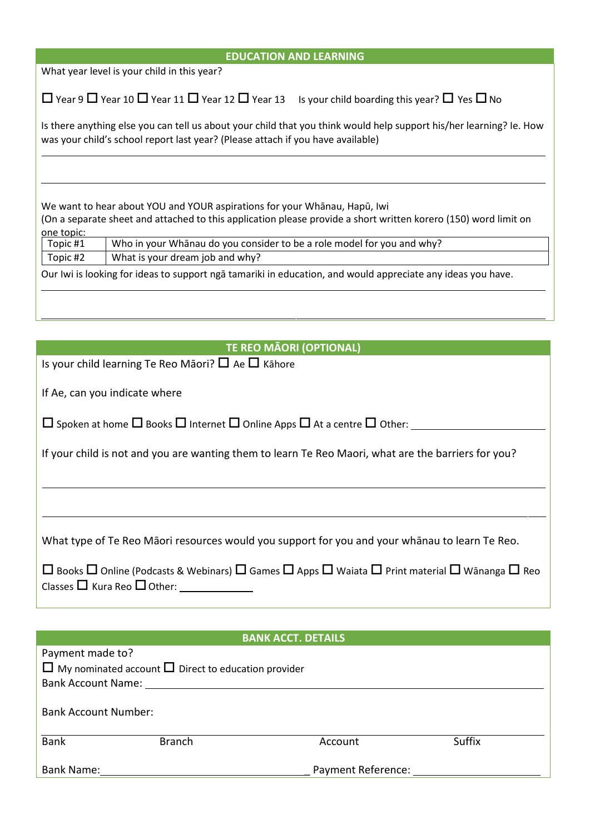| <b>EDUCATION AND LEARNING</b>                                                                                                                                                                                                                                                                    |
|--------------------------------------------------------------------------------------------------------------------------------------------------------------------------------------------------------------------------------------------------------------------------------------------------|
| What year level is your child in this year?                                                                                                                                                                                                                                                      |
| $\Box$ Year 9 $\Box$ Year 10 $\Box$ Year 11 $\Box$ Year 12 $\Box$ Year 13 Is your child boarding this year? $\Box$ Yes $\Box$ No                                                                                                                                                                 |
| Is there anything else you can tell us about your child that you think would help support his/her learning? Ie. How<br>was your child's school report last year? (Please attach if you have available)                                                                                           |
| We want to hear about YOU and YOUR aspirations for your Whanau, Hapū, Iwi<br>(On a separate sheet and attached to this application please provide a short written korero (150) word limit on<br>one topic:<br>Who in your Whanau do you consider to be a role model for you and why?<br>Topic #1 |
| What is your dream job and why?<br>Topic #2                                                                                                                                                                                                                                                      |
| Our Iwi is looking for ideas to support ngā tamariki in education, and would appreciate any ideas you have.                                                                                                                                                                                      |
|                                                                                                                                                                                                                                                                                                  |
| <b>TE REO MÃORI (OPTIONAL)</b>                                                                                                                                                                                                                                                                   |
|                                                                                                                                                                                                                                                                                                  |
| Is your child learning Te Reo Māori? $\Box$ Ae $\Box$ Kāhore                                                                                                                                                                                                                                     |
| If Ae, can you indicate where                                                                                                                                                                                                                                                                    |
| $\Box$ Spoken at home $\Box$ Books $\Box$ Internet $\Box$ Online Apps $\Box$ At a centre $\Box$ Other:                                                                                                                                                                                           |
| If your child is not and you are wanting them to learn Te Reo Maori, what are the barriers for you?                                                                                                                                                                                              |
|                                                                                                                                                                                                                                                                                                  |
| What type of Te Reo Māori resources would you support for you and your whānau to learn Te Reo.                                                                                                                                                                                                   |
| $\Box$ Books $\Box$ Online (Podcasts & Webinars) $\Box$ Games $\Box$ Apps $\Box$ Waiata $\Box$ Print material $\Box$ Wānanga $\Box$ Reo                                                                                                                                                          |
|                                                                                                                                                                                                                                                                                                  |
| <b>BANK ACCT. DETAILS</b>                                                                                                                                                                                                                                                                        |
| Payment made to?<br>$\Box$ My nominated account $\Box$ Direct to education provider<br>Bank Account Name: 1996 and 1997 and 1997 and 1997 and 1997 and 1997 and 1997 and 1997 and 1997 and 1997 and 1                                                                                            |
| <b>Bank Account Number:</b>                                                                                                                                                                                                                                                                      |
| <b>Suffix</b><br><b>Bank</b><br><b>Branch</b><br>Account                                                                                                                                                                                                                                         |
| Payment Reference:<br>Bank Name:                                                                                                                                                                                                                                                                 |